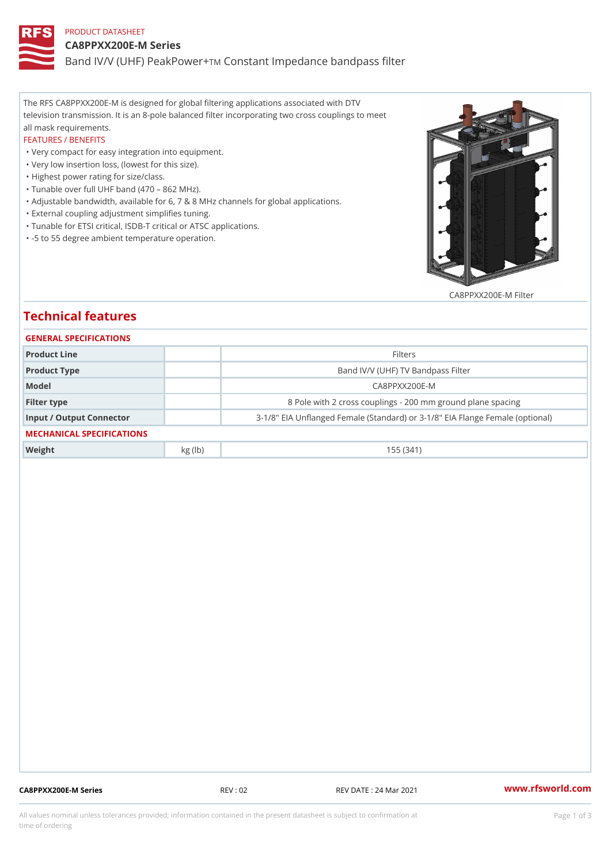## PRODUCT DATASHEET CA8PPXX200E-M Series Band IV/V (UHF) PeakCPonwstamt Impedance bandpass filter

The RFS CA8PPXX200E-M is designed for global filtering applications associated with DTV television transmission. It is an 8-pole balanced filter incorporating two cross couplings to meet all mask requirements.

### FEATURES / BENEFITS

"Very compact for easy integration into equipment.

- "Very low insertion loss, (lowest for this size).
- "Highest power rating for size/class.
- "Tunable over full UHF band (470 862 MHz).
- "Adjustable bandwidth, available for 6, 7 & 8 MHz channels for global applications.
- "External coupling adjustment simplifies tuning.
- "Tunable for ETSI critical, ISDB-T critical or ATSC applications.
- "-5 to 55 degree ambient temperature operation.

### CA8PPXX200E-M Filter

# Technical features

| GENERAL SPECIFICATIONS    |         |                                                            |  |  |  |  |
|---------------------------|---------|------------------------------------------------------------|--|--|--|--|
| Product Line              |         | Filters                                                    |  |  |  |  |
| Product Type              |         | Band IV/V (UHF) TV Bandpass Filter                         |  |  |  |  |
| Model                     |         | $C$ A8PPXX200E-M                                           |  |  |  |  |
| Filter type               |         | 8 Pole with 2 cross couplings - 200 mm ground plane s      |  |  |  |  |
| Input / Output Connector  |         | 3-1/8" EIA Unflanged Female (Standard) or 3-1/8" EIA Flang |  |  |  |  |
| MECHANICAL SPECIFICATIONS |         |                                                            |  |  |  |  |
| Weight                    | kg (lb) | 155(341)                                                   |  |  |  |  |
|                           |         |                                                            |  |  |  |  |

CA8PPXX200E-M Series REV : 02 REV DATE : 24 Mar 2021 [www.](https://www.rfsworld.com)rfsworld.com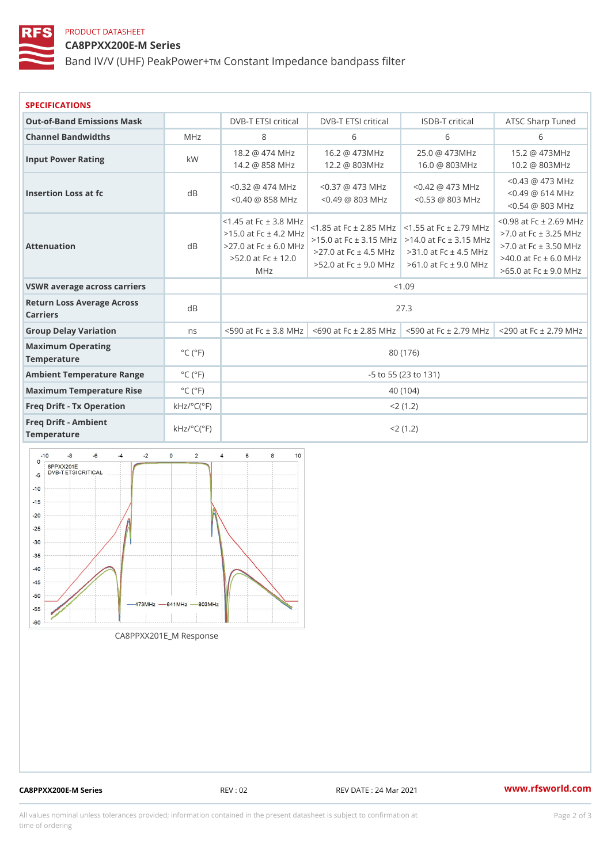### PRODUCT DATASHEET CA8PPXX200E-M Series Band IV/V (UHF) PeakCPonwstamt Impedance bandpass filter

| <b>SPECIFICATIONS</b>                                  |                                            |                                                                                                           |                                                                                                                                                                                                                                                            |                                                                               |                                                                                                    |                      |  |
|--------------------------------------------------------|--------------------------------------------|-----------------------------------------------------------------------------------------------------------|------------------------------------------------------------------------------------------------------------------------------------------------------------------------------------------------------------------------------------------------------------|-------------------------------------------------------------------------------|----------------------------------------------------------------------------------------------------|----------------------|--|
| Out-of-Band Emissions Mask                             |                                            |                                                                                                           | DVB-T ETSI dritDd/aB-T ETSI criticlaSDB-T critica IATSC Sharp Tuned                                                                                                                                                                                        |                                                                               |                                                                                                    |                      |  |
| Channel Bandwidths                                     | $M$ H z                                    | 8                                                                                                         | 6                                                                                                                                                                                                                                                          | 6                                                                             | 6                                                                                                  |                      |  |
| Input Power Rating                                     | k W                                        | 18.2                                                                                                      | @ 474 MHz16.2 @ 473MHz 25.0 @ 473MHz 15.2 @ 473MHz<br>14.2 @ 858 MHz12.2 @ 803MHz 16.0 @ 803MHz 10.2 @ 803MHz                                                                                                                                              |                                                                               |                                                                                                    |                      |  |
| Insertion Loss at fc                                   | d B                                        |                                                                                                           | $< 0.32 \text{ } \textcircled{2}$ 474 MHz $\textcircled{1}$ .37 $\textcircled{2}$ 473 MHz $\textcircled{1}$ .42 $\textcircled{2}$ 473 MHz $\textcircled{2}$ .43<br>$<$ 0.40 $\circledcirc$ 858 MHz 0.49 $\circledcirc$ 803 MHz 0.53 $\circledcirc$ 803 MHz |                                                                               | @ 473 MHz<br>614 MHz<br>$\omega$<br>@ 803 MHz<br>$\bar{0}$ . 54                                    |                      |  |
| Attenuation                                            | d B                                        | $< 1.45$ at Fc $\pm$ 3<br>$>15.0$ at Fc $\pm$<br>> 27.0 at Fc $\pm$ 6.0<br>$>52.0$ at Fc $\pm$<br>$M$ H z | M H z<br>;омнд. , сталя минаt Fc ±<br>->27.0 at Fc ± 4.53MHDzat Fc ±<br>-12.0<br>$>52.0$ at Fc $\pm$ 9.96MHDz at Fc $\pm$                                                                                                                                  | 5 at Fc ± 2.85.505 at Fc ± 2.79 $MHz$ -<br>0 at Fc $\pm$ 3.454MCH at Fc $\pm$ | at Fc $\pm$<br>$3.\tilde{1}$<br>at $Fc = 3.50$<br>$\overrightarrow{5}$<br>at Fc<br>at $Fc \pm 9.0$ | 2 69<br>3.25<br>61.0 |  |
| VSWR average across carriers                           |                                            |                                                                                                           |                                                                                                                                                                                                                                                            | < 1.09                                                                        |                                                                                                    |                      |  |
| Return Loss Average Across<br>Carriers                 |                                            | 27.3                                                                                                      |                                                                                                                                                                                                                                                            |                                                                               |                                                                                                    |                      |  |
| Group Delay Variation                                  | n s                                        |                                                                                                           | <590 at Fc $\pm$ 3.86M 0H zat Fc $\pm$ 2 8-55M 0H at Fc $\pm$ 2 7-92M 0H at Fc $\pm$ 2 79                                                                                                                                                                  |                                                                               |                                                                                                    |                      |  |
| Maximum Operating<br>Temperature                       | $^{\circ}$ C ( $^{\circ}$ F                | 80 (176)                                                                                                  |                                                                                                                                                                                                                                                            |                                                                               |                                                                                                    |                      |  |
| Ambient Temperature RangeC (°F                         |                                            | $-5$ to $55$ (23 to 131)                                                                                  |                                                                                                                                                                                                                                                            |                                                                               |                                                                                                    |                      |  |
| Maximum Temperature Flise°C (°F                        |                                            | 40 (104)                                                                                                  |                                                                                                                                                                                                                                                            |                                                                               |                                                                                                    |                      |  |
| Freq Drift - Tx Operation $kHz$ / °C( $\overline{F}$ ) |                                            |                                                                                                           |                                                                                                                                                                                                                                                            | $< 2$ (1.2)                                                                   |                                                                                                    |                      |  |
| Freg Drift - Ambient<br>Temperature                    | $k$ H z / $\circ$ C ( $\upharpoonright$ F) | $< 2$ (1.2)                                                                                               |                                                                                                                                                                                                                                                            |                                                                               |                                                                                                    |                      |  |

CA8PPXX201E\_M Response

CA8PPXX200E-M Series REV : 02 REV DATE : 24 Mar 2021 [www.](https://www.rfsworld.com)rfsworld.com